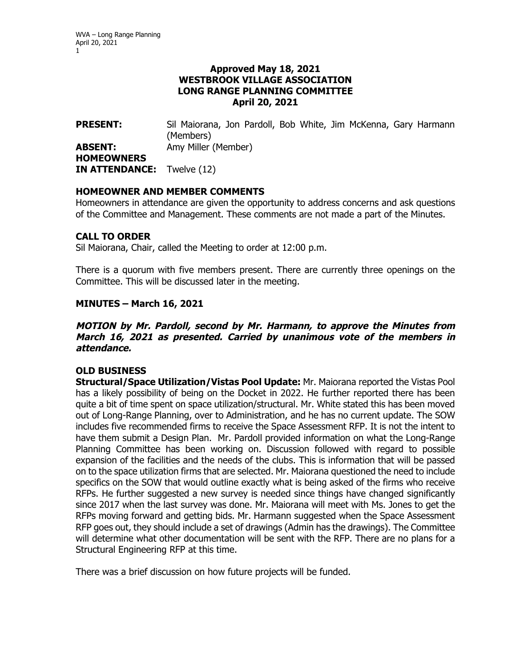### **Approved May 18, 2021 WESTBROOK VILLAGE ASSOCIATION LONG RANGE PLANNING COMMITTEE April 20, 2021**

**PRESENT:** Sil Maiorana, Jon Pardoll, Bob White, Jim McKenna, Gary Harmann (Members) **ABSENT:** Amy Miller (Member) **HOMEOWNERS IN ATTENDANCE:** Twelve (12)

# **HOMEOWNER AND MEMBER COMMENTS**

Homeowners in attendance are given the opportunity to address concerns and ask questions of the Committee and Management. These comments are not made a part of the Minutes.

# **CALL TO ORDER**

Sil Maiorana, Chair, called the Meeting to order at 12:00 p.m.

There is a quorum with five members present. There are currently three openings on the Committee. This will be discussed later in the meeting.

# **MINUTES – March 16, 2021**

### **MOTION by Mr. Pardoll, second by Mr. Harmann, to approve the Minutes from March 16, 2021 as presented. Carried by unanimous vote of the members in attendance.**

### **OLD BUSINESS**

**Structural/Space Utilization/Vistas Pool Update:** Mr. Maiorana reported the Vistas Pool has a likely possibility of being on the Docket in 2022. He further reported there has been quite a bit of time spent on space utilization/structural. Mr. White stated this has been moved out of Long-Range Planning, over to Administration, and he has no current update. The SOW includes five recommended firms to receive the Space Assessment RFP. It is not the intent to have them submit a Design Plan. Mr. Pardoll provided information on what the Long-Range Planning Committee has been working on. Discussion followed with regard to possible expansion of the facilities and the needs of the clubs. This is information that will be passed on to the space utilization firms that are selected. Mr. Maiorana questioned the need to include specifics on the SOW that would outline exactly what is being asked of the firms who receive RFPs. He further suggested a new survey is needed since things have changed significantly since 2017 when the last survey was done. Mr. Maiorana will meet with Ms. Jones to get the RFPs moving forward and getting bids. Mr. Harmann suggested when the Space Assessment RFP goes out, they should include a set of drawings (Admin has the drawings). The Committee will determine what other documentation will be sent with the RFP. There are no plans for a Structural Engineering RFP at this time.

There was a brief discussion on how future projects will be funded.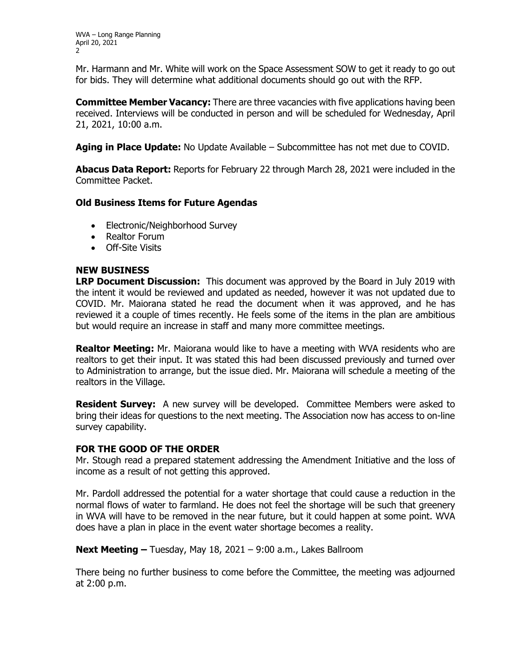Mr. Harmann and Mr. White will work on the Space Assessment SOW to get it ready to go out for bids. They will determine what additional documents should go out with the RFP.

**Committee Member Vacancy:** There are three vacancies with five applications having been received. Interviews will be conducted in person and will be scheduled for Wednesday, April 21, 2021, 10:00 a.m.

**Aging in Place Update:** No Update Available – Subcommittee has not met due to COVID.

**Abacus Data Report:** Reports for February 22 through March 28, 2021 were included in the Committee Packet.

# **Old Business Items for Future Agendas**

- Electronic/Neighborhood Survey
- Realtor Forum
- Off-Site Visits

### **NEW BUSINESS**

**LRP Document Discussion:** This document was approved by the Board in July 2019 with the intent it would be reviewed and updated as needed, however it was not updated due to COVID. Mr. Maiorana stated he read the document when it was approved, and he has reviewed it a couple of times recently. He feels some of the items in the plan are ambitious but would require an increase in staff and many more committee meetings.

**Realtor Meeting:** Mr. Maiorana would like to have a meeting with WVA residents who are realtors to get their input. It was stated this had been discussed previously and turned over to Administration to arrange, but the issue died. Mr. Maiorana will schedule a meeting of the realtors in the Village.

**Resident Survey:** A new survey will be developed. Committee Members were asked to bring their ideas for questions to the next meeting. The Association now has access to on-line survey capability.

### **FOR THE GOOD OF THE ORDER**

Mr. Stough read a prepared statement addressing the Amendment Initiative and the loss of income as a result of not getting this approved.

Mr. Pardoll addressed the potential for a water shortage that could cause a reduction in the normal flows of water to farmland. He does not feel the shortage will be such that greenery in WVA will have to be removed in the near future, but it could happen at some point. WVA does have a plan in place in the event water shortage becomes a reality.

**Next Meeting –** Tuesday, May 18, 2021 – 9:00 a.m., Lakes Ballroom

There being no further business to come before the Committee, the meeting was adjourned at 2:00 p.m.